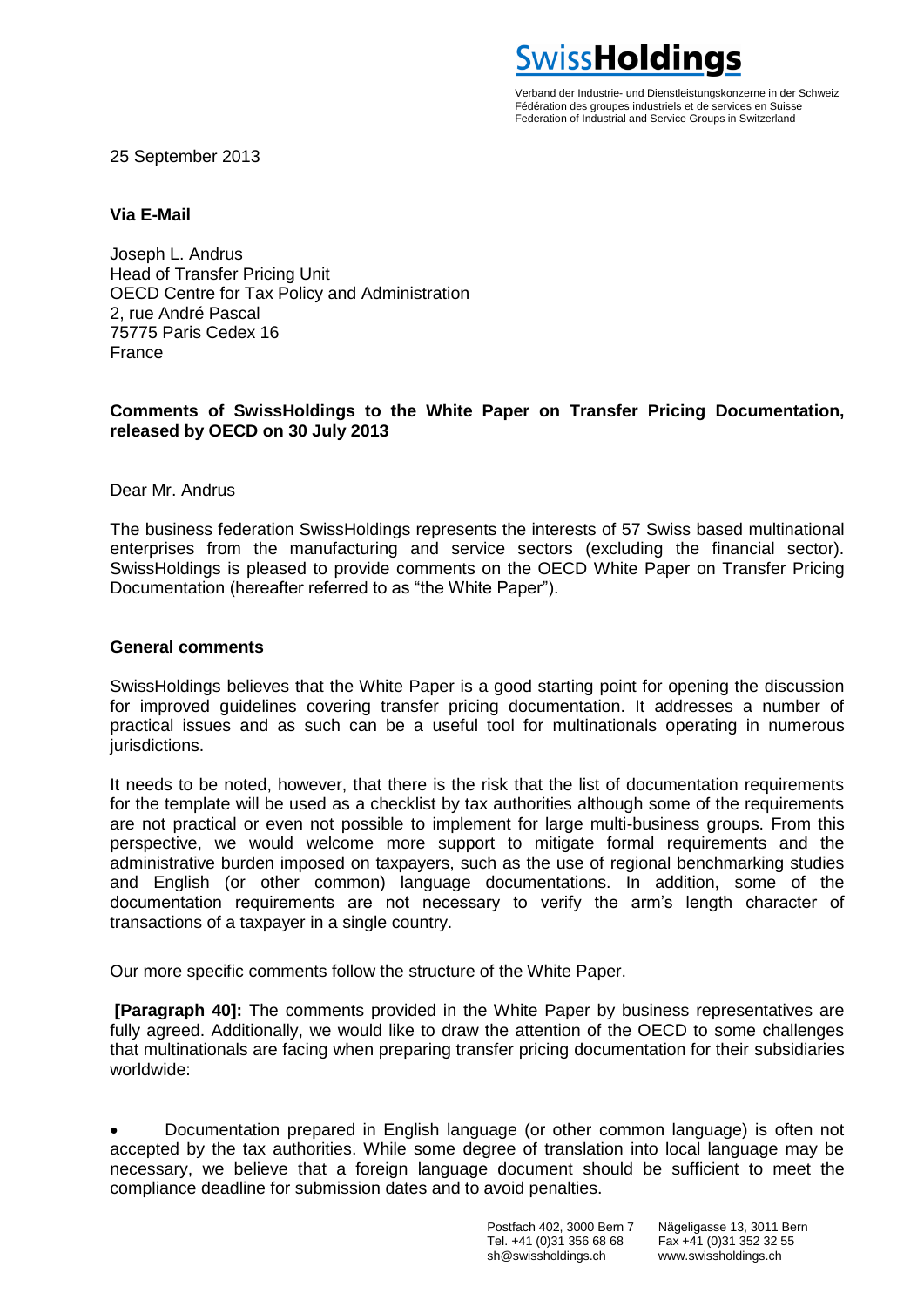Verband der Industrie- und Dienstleistungskonzerne in der Schweiz Fédération des groupes industriels et de services en Suisse Federation of Industrial and Service Groups in Switzerland

**SwissHoldinas** 

25 September 2013

## **Via E-Mail**

Joseph L. Andrus Head of Transfer Pricing Unit OECD Centre for Tax Policy and Administration 2, rue André Pascal 75775 Paris Cedex 16 France

## **Comments of SwissHoldings to the White Paper on Transfer Pricing Documentation, released by OECD on 30 July 2013**

Dear Mr. Andrus

The business federation SwissHoldings represents the interests of 57 Swiss based multinational enterprises from the manufacturing and service sectors (excluding the financial sector). SwissHoldings is pleased to provide comments on the OECD White Paper on Transfer Pricing Documentation (hereafter referred to as "the White Paper").

## **General comments**

SwissHoldings believes that the White Paper is a good starting point for opening the discussion for improved guidelines covering transfer pricing documentation. It addresses a number of practical issues and as such can be a useful tool for multinationals operating in numerous jurisdictions.

It needs to be noted, however, that there is the risk that the list of documentation requirements for the template will be used as a checklist by tax authorities although some of the requirements are not practical or even not possible to implement for large multi-business groups. From this perspective, we would welcome more support to mitigate formal requirements and the administrative burden imposed on taxpayers, such as the use of regional benchmarking studies and English (or other common) language documentations. In addition, some of the documentation requirements are not necessary to verify the arm's length character of transactions of a taxpayer in a single country.

Our more specific comments follow the structure of the White Paper.

**[Paragraph 40]:** The comments provided in the White Paper by business representatives are fully agreed. Additionally, we would like to draw the attention of the OECD to some challenges that multinationals are facing when preparing transfer pricing documentation for their subsidiaries worldwide:

 Documentation prepared in English language (or other common language) is often not accepted by the tax authorities. While some degree of translation into local language may be necessary, we believe that a foreign language document should be sufficient to meet the compliance deadline for submission dates and to avoid penalties.

> Postfach 402, 3000 Bern 7 Nägeligasse 13, 3011 Bern Tel. +41 (0)31 356 68 68 sh@swissholdings.ch www.swissholdings.ch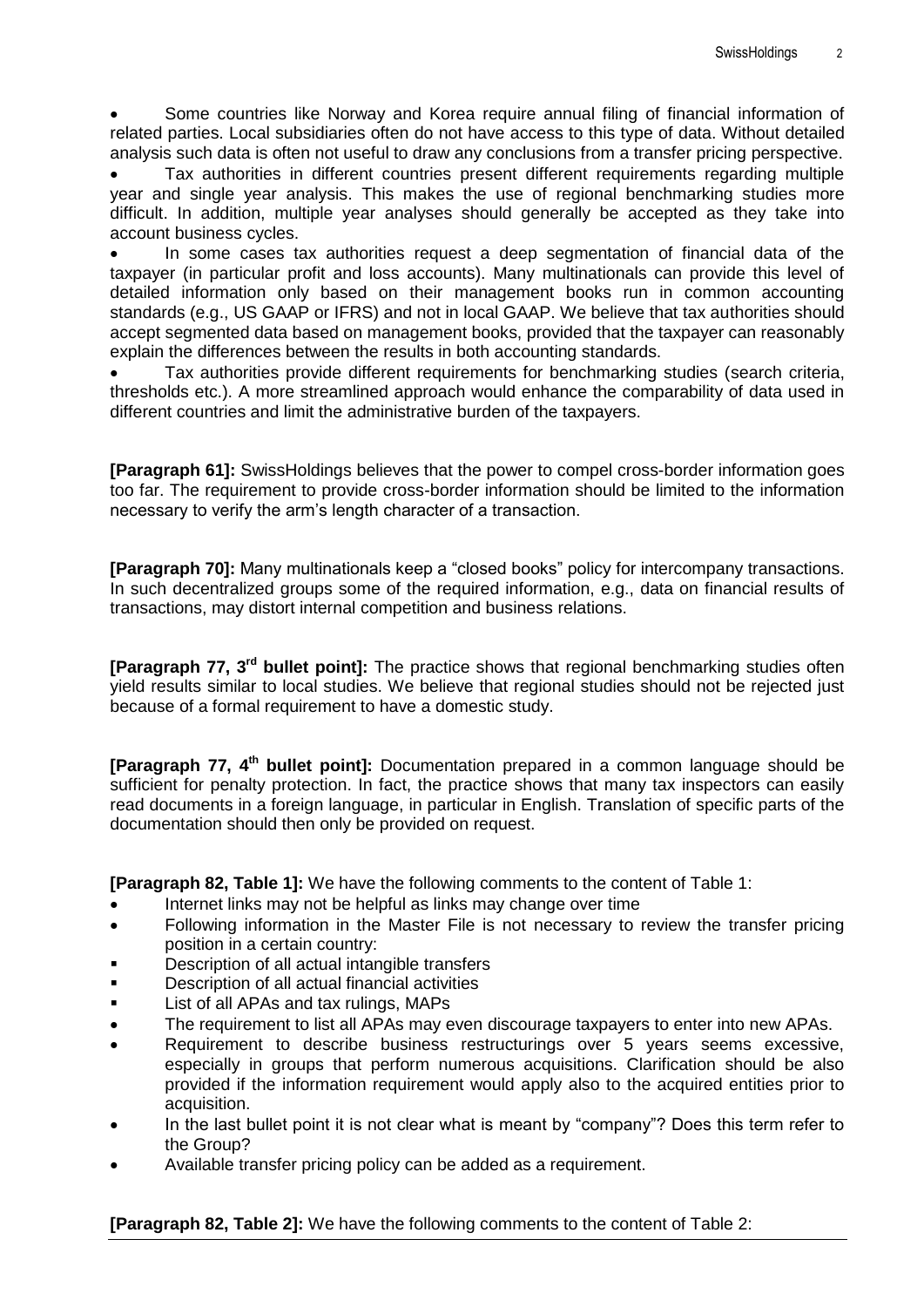Some countries like Norway and Korea require annual filing of financial information of related parties. Local subsidiaries often do not have access to this type of data. Without detailed analysis such data is often not useful to draw any conclusions from a transfer pricing perspective.

 Tax authorities in different countries present different requirements regarding multiple year and single year analysis. This makes the use of regional benchmarking studies more difficult. In addition, multiple year analyses should generally be accepted as they take into account business cycles.

 In some cases tax authorities request a deep segmentation of financial data of the taxpayer (in particular profit and loss accounts). Many multinationals can provide this level of detailed information only based on their management books run in common accounting standards (e.g., US GAAP or IFRS) and not in local GAAP. We believe that tax authorities should accept segmented data based on management books, provided that the taxpayer can reasonably explain the differences between the results in both accounting standards.

 Tax authorities provide different requirements for benchmarking studies (search criteria, thresholds etc.). A more streamlined approach would enhance the comparability of data used in different countries and limit the administrative burden of the taxpayers.

**[Paragraph 61]:** SwissHoldings believes that the power to compel cross-border information goes too far. The requirement to provide cross-border information should be limited to the information necessary to verify the arm's length character of a transaction.

**[Paragraph 70]:** Many multinationals keep a "closed books" policy for intercompany transactions. In such decentralized groups some of the required information, e.g., data on financial results of transactions, may distort internal competition and business relations.

**[Paragraph 77, 3 rd bullet point]:** The practice shows that regional benchmarking studies often yield results similar to local studies. We believe that regional studies should not be rejected just because of a formal requirement to have a domestic study.

**[Paragraph 77, 4<sup>th</sup> bullet point]:** Documentation prepared in a common language should be sufficient for penalty protection. In fact, the practice shows that many tax inspectors can easily read documents in a foreign language, in particular in English. Translation of specific parts of the documentation should then only be provided on request.

**[Paragraph 82, Table 1]:** We have the following comments to the content of Table 1:

- Internet links may not be helpful as links may change over time
- Following information in the Master File is not necessary to review the transfer pricing position in a certain country:
- Description of all actual intangible transfers
- **Description of all actual financial activities**
- **List of all APAs and tax rulings, MAPs**
- The requirement to list all APAs may even discourage taxpayers to enter into new APAs.
- Requirement to describe business restructurings over 5 years seems excessive, especially in groups that perform numerous acquisitions. Clarification should be also provided if the information requirement would apply also to the acquired entities prior to acquisition.
- In the last bullet point it is not clear what is meant by "company"? Does this term refer to the Group?
- Available transfer pricing policy can be added as a requirement.

**[Paragraph 82, Table 2]:** We have the following comments to the content of Table 2: